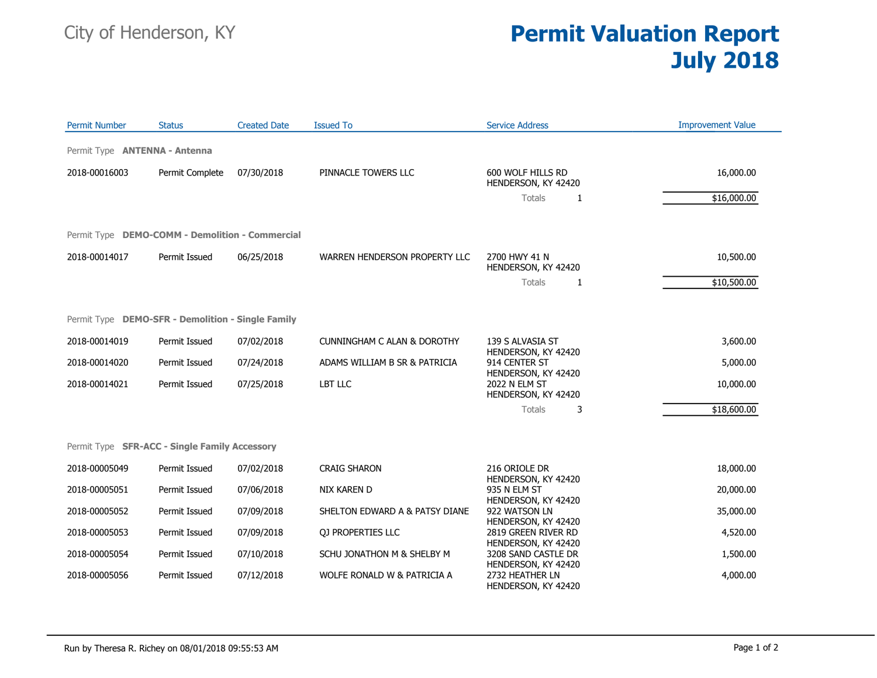## City of Henderson, KY **Permit Valuation Report July 2018**

| <b>Permit Number</b>                 | <b>Status</b>                                     | <b>Created Date</b> | <b>Issued To</b>                       | <b>Service Address</b>                                        | <b>Improvement Value</b> |
|--------------------------------------|---------------------------------------------------|---------------------|----------------------------------------|---------------------------------------------------------------|--------------------------|
| Permit Type <b>ANTENNA - Antenna</b> |                                                   |                     |                                        |                                                               |                          |
| 2018-00016003                        | Permit Complete                                   | 07/30/2018          | PINNACLE TOWERS LLC                    | 600 WOLF HILLS RD<br>HENDERSON, KY 42420                      | 16,000.00                |
|                                      |                                                   |                     |                                        | Totals<br>1                                                   | \$16,000.00              |
|                                      | Permit Type DEMO-COMM - Demolition - Commercial   |                     |                                        |                                                               |                          |
| 2018-00014017                        | Permit Issued                                     | 06/25/2018          | WARREN HENDERSON PROPERTY LLC          | 2700 HWY 41 N<br>HENDERSON, KY 42420                          | 10,500.00                |
|                                      |                                                   |                     |                                        | Totals<br>1                                                   | \$10,500.00              |
|                                      | Permit Type DEMO-SFR - Demolition - Single Family |                     |                                        |                                                               |                          |
| 2018-00014019                        | Permit Issued                                     | 07/02/2018          | <b>CUNNINGHAM C ALAN &amp; DOROTHY</b> | 139 S ALVASIA ST<br>HENDERSON, KY 42420                       | 3,600.00                 |
| 2018-00014020                        | Permit Issued                                     | 07/24/2018          | ADAMS WILLIAM B SR & PATRICIA          | 914 CENTER ST<br>HENDERSON, KY 42420                          | 5,000.00                 |
| 2018-00014021                        | Permit Issued                                     | 07/25/2018          | LBT LLC                                | 2022 N ELM ST<br>HENDERSON, KY 42420                          | 10,000.00                |
|                                      |                                                   |                     |                                        | 3<br>Totals                                                   | \$18,600.00              |
|                                      | Permit Type SFR-ACC - Single Family Accessory     |                     |                                        |                                                               |                          |
| 2018-00005049                        | Permit Issued                                     | 07/02/2018          | <b>CRAIG SHARON</b>                    | 216 ORIOLE DR                                                 | 18,000.00                |
| 2018-00005051                        | Permit Issued                                     | 07/06/2018          | <b>NIX KAREN D</b>                     | HENDERSON, KY 42420<br>935 N ELM ST                           | 20,000.00                |
| 2018-00005052                        | Permit Issued                                     | 07/09/2018          | SHELTON EDWARD A & PATSY DIANE         | HENDERSON, KY 42420<br>922 WATSON LN                          | 35,000.00                |
| 2018-00005053                        | Permit Issued                                     | 07/09/2018          | QJ PROPERTIES LLC                      | HENDERSON, KY 42420<br>2819 GREEN RIVER RD                    | 4,520.00                 |
| 2018-00005054                        | Permit Issued                                     | 07/10/2018          | SCHU JONATHON M & SHELBY M             | HENDERSON, KY 42420<br>3208 SAND CASTLE DR                    | 1,500.00                 |
| 2018-00005056                        | Permit Issued                                     | 07/12/2018          | WOLFE RONALD W & PATRICIA A            | HENDERSON, KY 42420<br>2732 HEATHER LN<br>HENDERSON, KY 42420 | 4,000.00                 |